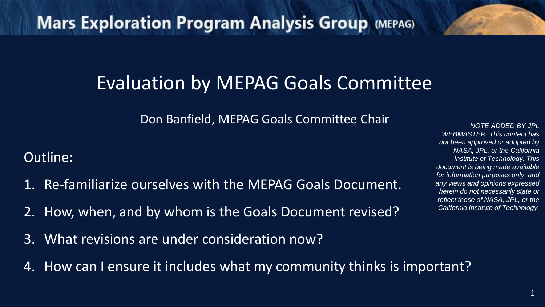### Evaluation by MEPAG Goals Committee

Don Banfield, MEPAG Goals Committee Chair

#### Outline:

- 1. Re-familiarize ourselves with the MEPAG Goals Document.
- 2. How, when, and by whom is the Goals Document revised?
- 3. What revisions are under consideration now?
- 4. How can I ensure it includes what my community thinks is important?

*NOTE ADDED BY JPL WEBMASTER: This content has not been approved or adopted by NASA, JPL, or the California Institute of Technology. This document is being made available for information purposes only, and any views and opinions expressed herein do not necessarily state or reflect those of NASA, JPL, or the California Institute of Technology.*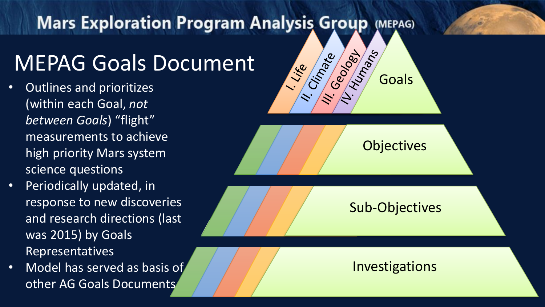### MEPAG Goals Document

- Outlines and prioritizes (within each Goal, *not between Goals*) "flight" measurements to achieve high priority Mars system science questions
- Periodically updated, in response to new discoveries and research directions (last was 2015) by Goals Representatives
- Model has served as basis of other AG Goals Documents



2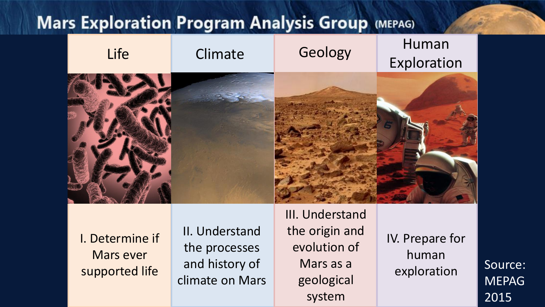

I. Determine if Mars ever supported life

II. Understand the processes and history of climate on Mars III. Understand the origin and evolution of Mars as a geological system

IV. Prepare for human exploration Source:

MEPAG 2015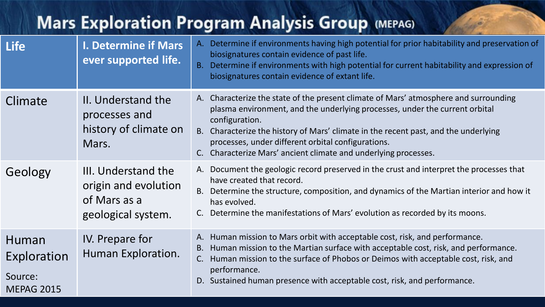| <b>Mars Exploration Program Analysis Group (MEPAG)</b> |                                                                                   |                                                                                                                                                                                                                                                                                                                                                                                                       |  |  |
|--------------------------------------------------------|-----------------------------------------------------------------------------------|-------------------------------------------------------------------------------------------------------------------------------------------------------------------------------------------------------------------------------------------------------------------------------------------------------------------------------------------------------------------------------------------------------|--|--|
| <b>Life</b>                                            | <b>I. Determine if Mars</b><br>ever supported life.                               | A. Determine if environments having high potential for prior habitability and preservation of<br>biosignatures contain evidence of past life.<br>B. Determine if environments with high potential for current habitability and expression of<br>biosignatures contain evidence of extant life.                                                                                                        |  |  |
| Climate                                                | II. Understand the<br>processes and<br>history of climate on<br>Mars.             | A. Characterize the state of the present climate of Mars' atmosphere and surrounding<br>plasma environment, and the underlying processes, under the current orbital<br>configuration.<br>B. Characterize the history of Mars' climate in the recent past, and the underlying<br>processes, under different orbital configurations.<br>C. Characterize Mars' ancient climate and underlying processes. |  |  |
| Geology                                                | III. Understand the<br>origin and evolution<br>of Mars as a<br>geological system. | A. Document the geologic record preserved in the crust and interpret the processes that<br>have created that record.<br>B. Determine the structure, composition, and dynamics of the Martian interior and how it<br>has evolved.<br>Determine the manifestations of Mars' evolution as recorded by its moons.                                                                                         |  |  |
| Human<br>Exploration<br>Source:<br><b>MEPAG 2015</b>   | IV. Prepare for<br>Human Exploration.                                             | Human mission to Mars orbit with acceptable cost, risk, and performance.<br>A.<br>Human mission to the Martian surface with acceptable cost, risk, and performance.<br>В.<br>Human mission to the surface of Phobos or Deimos with acceptable cost, risk, and<br>C.<br>performance.<br>D. Sustained human presence with acceptable cost, risk, and performance.                                       |  |  |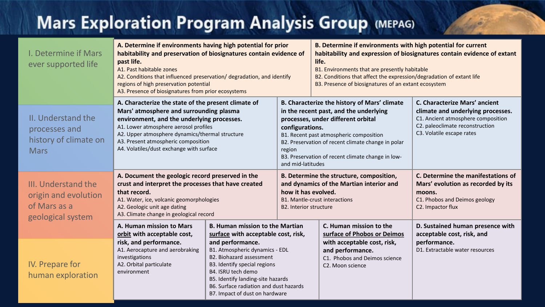| I. Determine if Mars<br>ever supported life                                                                                                                                                                                                                                                                                        | A. Determine if environments having high potential for prior<br>habitability and preservation of biosignatures contain evidence of<br>past life.<br>A1. Past habitable zones<br>A2. Conditions that influenced preservation/ degradation, and identify<br>regions of high preservation potential<br>A3. Presence of biosignatures from prior ecosystems                        |                                                                                                                                                                                                                                                                                                                                  | B. Determine if environments with high potential for current<br>habitability and expression of biosignatures contain evidence of extant<br>life.<br>B1. Environments that are presently habitable<br>B2. Conditions that affect the expression/degradation of extant life<br>B3. Presence of biosignatures of an extant ecosystem    |                                                                                                      |                                                                                                                                                                          |
|------------------------------------------------------------------------------------------------------------------------------------------------------------------------------------------------------------------------------------------------------------------------------------------------------------------------------------|--------------------------------------------------------------------------------------------------------------------------------------------------------------------------------------------------------------------------------------------------------------------------------------------------------------------------------------------------------------------------------|----------------------------------------------------------------------------------------------------------------------------------------------------------------------------------------------------------------------------------------------------------------------------------------------------------------------------------|--------------------------------------------------------------------------------------------------------------------------------------------------------------------------------------------------------------------------------------------------------------------------------------------------------------------------------------|------------------------------------------------------------------------------------------------------|--------------------------------------------------------------------------------------------------------------------------------------------------------------------------|
| II. Understand the<br>processes and<br>history of climate on<br><b>Mars</b>                                                                                                                                                                                                                                                        | A. Characterize the state of the present climate of<br>Mars' atmosphere and surrounding plasma<br>environment, and the underlying processes.<br>A1. Lower atmosphere aerosol profiles<br>A2. Upper atmosphere dynamics/thermal structure<br>A3. Present atmospheric composition<br>A4. Volatiles/dust exchange with surface                                                    |                                                                                                                                                                                                                                                                                                                                  | B. Characterize the history of Mars' climate<br>in the recent past, and the underlying<br>processes, under different orbital<br>configurations.<br>B1. Recent past atmospheric composition<br>B2. Preservation of recent climate change in polar<br>region<br>B3. Preservation of recent climate change in low-<br>and mid-latitudes |                                                                                                      | C. Characterize Mars' ancient<br>climate and underlying processes.<br>C1. Ancient atmosphere composition<br>C2. paleoclimate reconstruction<br>C3. Volatile escape rates |
| A. Document the geologic record preserved in the<br>III. Understand the<br>crust and interpret the processes that have created<br>that record.<br>origin and evolution<br>A1. Water, ice, volcanic geomorphologies<br>of Mars as a<br>A2. Geologic unit age dating<br>A3. Climate change in geological record<br>geological system |                                                                                                                                                                                                                                                                                                                                                                                | C. Determine the manifestations of<br>B. Determine the structure, composition,<br>and dynamics of the Martian interior and<br>Mars' evolution as recorded by its<br>how it has evolved.<br>moons.<br><b>B1. Mantle-crust interactions</b><br>C1. Phobos and Deimos geology<br>C2. Impactor flux<br><b>B2. Interior structure</b> |                                                                                                                                                                                                                                                                                                                                      |                                                                                                      |                                                                                                                                                                          |
|                                                                                                                                                                                                                                                                                                                                    | A. Human mission to Mars<br>orbit with acceptable cost,                                                                                                                                                                                                                                                                                                                        | <b>B. Human mission to the Martian</b><br>surface with acceptable cost, risk,                                                                                                                                                                                                                                                    |                                                                                                                                                                                                                                                                                                                                      | C. Human mission to the<br>surface of Phobos or Deimos                                               | D. Sustained human presence with<br>acceptable cost, risk, and                                                                                                           |
| IV. Prepare for<br>human exploration                                                                                                                                                                                                                                                                                               | risk, and performance.<br>and performance.<br>A1. Aerocapture and aerobraking<br>B1. Atmospheric dynamics - EDL<br>B2. Biohazard assessment<br>investigations<br>A2. Orbital particulate<br>B3. Identify special regions<br>B4. ISRU tech demo<br>environment<br>B5. Identify landing-site hazards<br>B6. Surface radiation and dust hazards<br>B7. Impact of dust on hardware |                                                                                                                                                                                                                                                                                                                                  |                                                                                                                                                                                                                                                                                                                                      | with acceptable cost, risk,<br>and performance.<br>C1. Phobos and Deimos science<br>C2. Moon science | performance.<br>D1. Extractable water resources                                                                                                                          |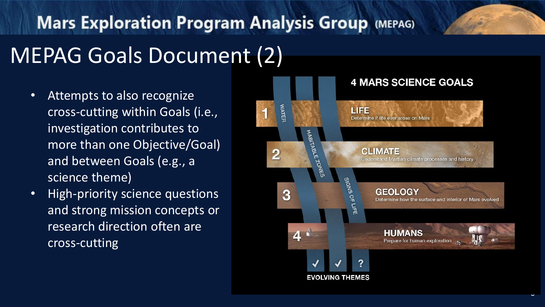### MEPAG Goals Document (2)

- Attempts to also recognize cross -cutting within Goals (i.e., investigation contributes to more than one Objective/Goal) and between Goals (e.g., a science theme)
- High -priority science questions and strong mission concepts or research direction often are cross -cutting



6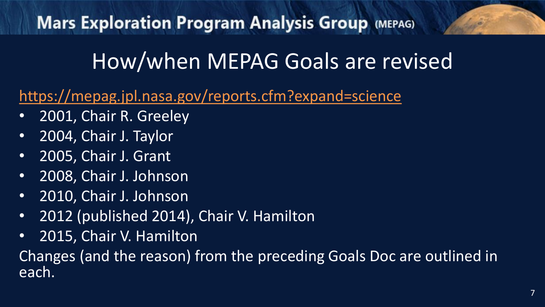### How/when MEPAG Goals are revised

#### <https://mepag.jpl.nasa.gov/reports.cfm?expand=science>

- 2001, Chair R. Greeley
- 2004, Chair J. Taylor
- 2005, Chair J. Grant
- 2008, Chair J. Johnson
- 2010, Chair J. Johnson
- 2012 (published 2014), Chair V. Hamilton
- 2015, Chair V. Hamilton

Changes (and the reason) from the preceding Goals Doc are outlined in each.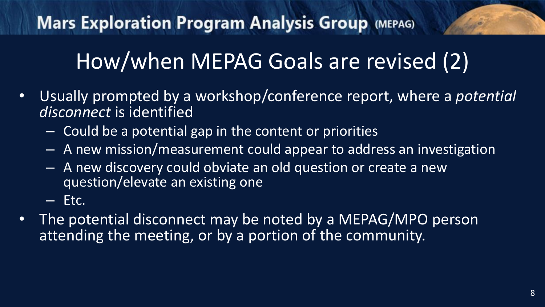### How/when MEPAG Goals are revised (2)

- Usually prompted by a workshop/conference report, where a *potential disconnect* is identified
	- Could be a potential gap in the content or priorities
	- A new mission/measurement could appear to address an investigation
	- A new discovery could obviate an old question or create a new question/elevate an existing one
	- Etc.
- The potential disconnect may be noted by a MEPAG/MPO person attending the meeting, or by a portion of the community.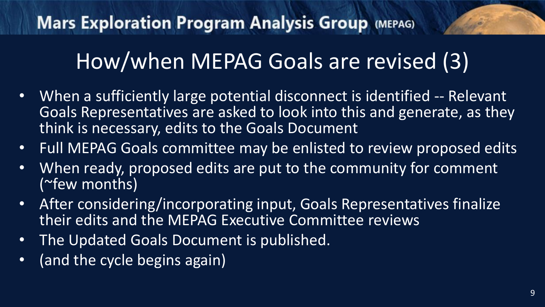### How/when MEPAG Goals are revised (3)

- When a sufficiently large potential disconnect is identified -- Relevant Goals Representatives are asked to look into this and generate, as they think is necessary, edits to the Goals Document
- Full MEPAG Goals committee may be enlisted to review proposed edits
- When ready, proposed edits are put to the community for comment (~few months)
- After considering/incorporating input, Goals Representatives finalize their edits and the MEPAG Executive Committee reviews
- The Updated Goals Document is published.
- (and the cycle begins again)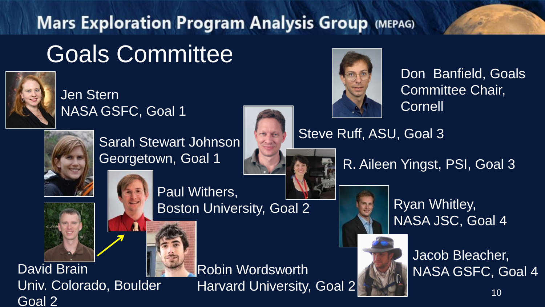### **Mars Exploration Program Analysis Group (MEPAG)** Goals Committee



#### Jen Stern NASA GSFC, Goal 1



Sarah Stewart Johnson Georgetown, Goal 1





Don Banfield, Goals Committee Chair, **Cornell** 

Steve Ruff, ASU, Goal 3

R. Aileen Yingst, PSI, Goal 3



Ryan Whitley, NASA JSC, Goal 4



Jacob Bleacher,

Univ. Colorado, Boulder Goal 2

Paul Withers, Boston University, Goal 2

Robin Wordsworth Harvard University, Goal 2 David Brain **NASA GSFC, Goal 4** Robin Wordsworth NASA GSFC, Goal 4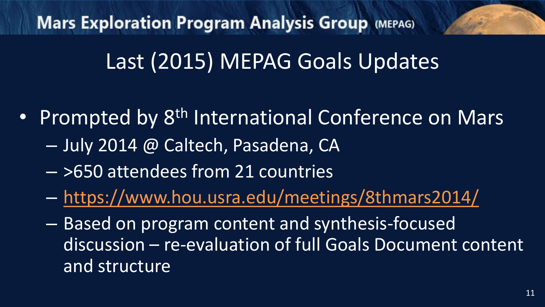### Last (2015) MEPAG Goals Updates

- Prompted by 8<sup>th</sup> International Conference on Mars
	- July 2014 @ Caltech, Pasadena, CA
	- >650 attendees from 21 countries
	- <https://www.hou.usra.edu/meetings/8thmars2014/>
	- Based on program content and synthesis-focused discussion – re-evaluation of full Goals Document content and structure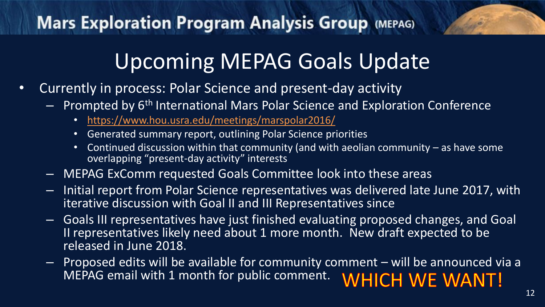### Upcoming MEPAG Goals Update

- Currently in process: Polar Science and present-day activity
	- $-$  Prompted by  $6<sup>th</sup>$  International Mars Polar Science and Exploration Conference
		- <https://www.hou.usra.edu/meetings/marspolar2016/>
		- Generated summary report, outlining Polar Science priorities
		- Continued discussion within that community (and with aeolian community as have some overlapping "present-day activity" interests
	- MEPAG ExComm requested Goals Committee look into these areas
	- Initial report from Polar Science representatives was delivered late June 2017, with iterative discussion with Goal II and III Representatives since
	- Goals III representatives have just finished evaluating proposed changes, and Goal II representatives likely need about 1 more month. New draft expected to be released in June 2018.
	- Proposed edits will be available for community comment will be announced via a MEPAG email with 1 month for public comment. **WHICH WE WANT!**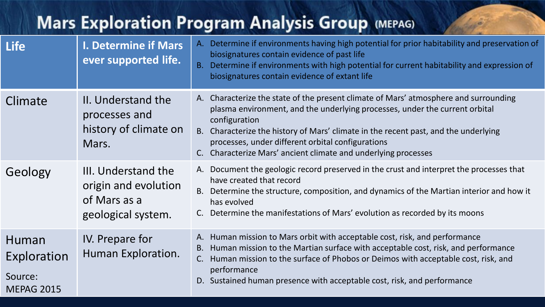| <b>Mars Exploration Program Analysis Group (MEPAG)</b> |                                                                                   |                                                                                                                                                                                                                                                                                                                                                                                                    |  |  |
|--------------------------------------------------------|-----------------------------------------------------------------------------------|----------------------------------------------------------------------------------------------------------------------------------------------------------------------------------------------------------------------------------------------------------------------------------------------------------------------------------------------------------------------------------------------------|--|--|
| <b>Life</b>                                            | <b>I. Determine if Mars</b><br>ever supported life.                               | A. Determine if environments having high potential for prior habitability and preservation of<br>biosignatures contain evidence of past life<br>B. Determine if environments with high potential for current habitability and expression of<br>biosignatures contain evidence of extant life                                                                                                       |  |  |
| Climate                                                | II. Understand the<br>processes and<br>history of climate on<br>Mars.             | A. Characterize the state of the present climate of Mars' atmosphere and surrounding<br>plasma environment, and the underlying processes, under the current orbital<br>configuration<br>B. Characterize the history of Mars' climate in the recent past, and the underlying<br>processes, under different orbital configurations<br>C. Characterize Mars' ancient climate and underlying processes |  |  |
| Geology                                                | III. Understand the<br>origin and evolution<br>of Mars as a<br>geological system. | A. Document the geologic record preserved in the crust and interpret the processes that<br>have created that record<br>B. Determine the structure, composition, and dynamics of the Martian interior and how it<br>has evolved<br>Determine the manifestations of Mars' evolution as recorded by its moons                                                                                         |  |  |
| Human<br>Exploration<br>Source:<br><b>MEPAG 2015</b>   | IV. Prepare for<br>Human Exploration.                                             | Human mission to Mars orbit with acceptable cost, risk, and performance<br>A.<br>Human mission to the Martian surface with acceptable cost, risk, and performance<br>В.<br>Human mission to the surface of Phobos or Deimos with acceptable cost, risk, and<br>C.<br>performance<br>D. Sustained human presence with acceptable cost, risk, and performance                                        |  |  |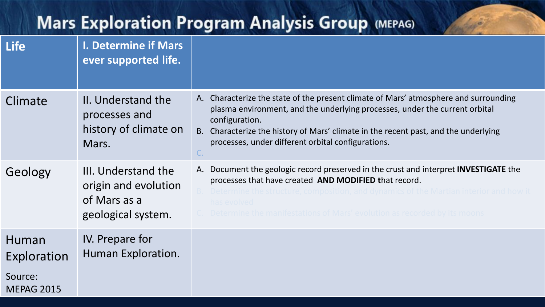| <b>Life</b>                                          | <b>I. Determine if Mars</b><br>ever supported life.                               |                                                                                                                                                                                                                                                                                                                                    |
|------------------------------------------------------|-----------------------------------------------------------------------------------|------------------------------------------------------------------------------------------------------------------------------------------------------------------------------------------------------------------------------------------------------------------------------------------------------------------------------------|
| Climate                                              | II. Understand the<br>processes and<br>history of climate on<br>Mars.             | A. Characterize the state of the present climate of Mars' atmosphere and surrounding<br>plasma environment, and the underlying processes, under the current orbital<br>configuration.<br>B. Characterize the history of Mars' climate in the recent past, and the underlying<br>processes, under different orbital configurations. |
| Geology                                              | III. Understand the<br>origin and evolution<br>of Mars as a<br>geological system. | A. Document the geologic record preserved in the crust and interpret INVESTIGATE the<br>processes that have created AND MODIFIED that record.<br>has evolved<br>Determine the manifestations of Mars' evolution as recorded by its moons                                                                                           |
| Human<br>Exploration<br>Source:<br><b>MEPAG 2015</b> | IV. Prepare for<br>Human Exploration.                                             |                                                                                                                                                                                                                                                                                                                                    |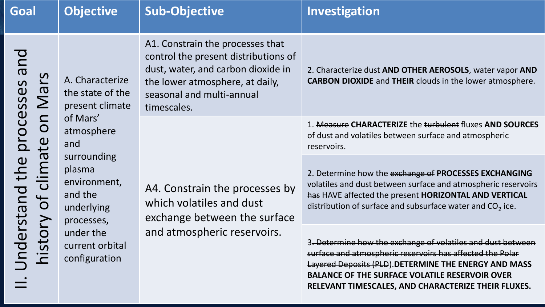| Goal                                                                                                                                                                       | <b>Objective</b>                                                                                                                                                                                                         | <b>Sub-Objective</b>                                                                                                                                                                          | Investigation                                                                                                                                                                                                                                                                                     |
|----------------------------------------------------------------------------------------------------------------------------------------------------------------------------|--------------------------------------------------------------------------------------------------------------------------------------------------------------------------------------------------------------------------|-----------------------------------------------------------------------------------------------------------------------------------------------------------------------------------------------|---------------------------------------------------------------------------------------------------------------------------------------------------------------------------------------------------------------------------------------------------------------------------------------------------|
| pue<br><u>က</u><br>processes<br>$\boldsymbol{\sigma}$<br>$\sum$<br>SO<br>$\mathbf{\hat{e}}$<br>clima<br>Understand the<br>bf<br>$\sum$<br>istor<br>$\overline{\mathbf{z}}$ | A. Characterize<br>the state of the<br>present climate<br>of Mars'<br>atmosphere<br>and<br>surrounding<br>plasma<br>environment,<br>and the<br>underlying<br>processes,<br>under the<br>current orbital<br>configuration | A1. Constrain the processes that<br>control the present distributions of<br>dust, water, and carbon dioxide in<br>the lower atmosphere, at daily,<br>seasonal and multi-annual<br>timescales. | 2. Characterize dust AND OTHER AEROSOLS, water vapor AND<br><b>CARBON DIOXIDE</b> and THEIR clouds in the lower atmosphere.                                                                                                                                                                       |
|                                                                                                                                                                            |                                                                                                                                                                                                                          | A4. Constrain the processes by<br>which volatiles and dust<br>exchange between the surface<br>and atmospheric reservoirs.                                                                     | 1. Measure CHARACTERIZE the turbulent fluxes AND SOURCES<br>of dust and volatiles between surface and atmospheric<br>reservoirs.                                                                                                                                                                  |
|                                                                                                                                                                            |                                                                                                                                                                                                                          |                                                                                                                                                                                               | 2. Determine how the exchange of PROCESSES EXCHANGING<br>volatiles and dust between surface and atmospheric reservoirs<br>has HAVE affected the present HORIZONTAL AND VERTICAL<br>distribution of surface and subsurface water and $CO2$ ice.                                                    |
|                                                                                                                                                                            |                                                                                                                                                                                                                          |                                                                                                                                                                                               | 3. Determine how the exchange of volatiles and dust between<br>surface and atmospheric reservoirs has affected the Polar<br>Layered Deposits (PLD). DETERMINE THE ENERGY AND MASS<br><b>BALANCE OF THE SURFACE VOLATILE RESERVOIR OVER</b><br>RELEVANT TIMESCALES, AND CHARACTERIZE THEIR FLUXES. |

15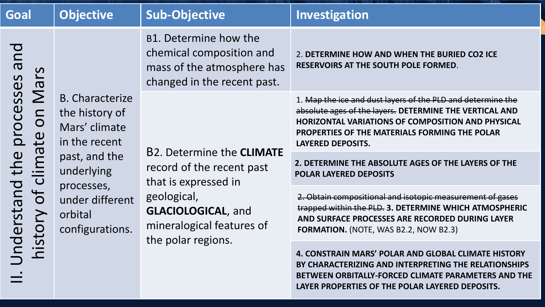| Goal                                                                                                                                                                | <b>Objective</b>                                                                                                                                                         | <b>Sub-Objective</b>                                                                                                                                                                 | Investigation                                                                                                                                                                                                                                                   |
|---------------------------------------------------------------------------------------------------------------------------------------------------------------------|--------------------------------------------------------------------------------------------------------------------------------------------------------------------------|--------------------------------------------------------------------------------------------------------------------------------------------------------------------------------------|-----------------------------------------------------------------------------------------------------------------------------------------------------------------------------------------------------------------------------------------------------------------|
| pue<br>$\mathbf{v}$<br>processes<br>$\overline{a}$<br>$\sum$<br>SO<br>$\mathbf{\hat{e}}$<br>ina<br>Jnderstand the<br>ပ<br>of<br>N<br>sto<br>$\overline{\mathbf{C}}$ | <b>B.</b> Characterize<br>the history of<br>Mars' climate<br>in the recent<br>past, and the<br>underlying<br>processes,<br>under different<br>orbital<br>configurations. | B1. Determine how the<br>chemical composition and<br>mass of the atmosphere has<br>changed in the recent past.                                                                       | 2. DETERMINE HOW AND WHEN THE BURIED CO2 ICE<br>RESERVOIRS AT THE SOUTH POLE FORMED.                                                                                                                                                                            |
|                                                                                                                                                                     |                                                                                                                                                                          | <b>B2. Determine the CLIMATE</b><br>record of the recent past<br>that is expressed in<br>geological,<br><b>GLACIOLOGICAL, and</b><br>mineralogical features of<br>the polar regions. | 1. Map the ice and dust layers of the PLD and determine the<br>absolute ages of the layers. DETERMINE THE VERTICAL AND<br><b>HORIZONTAL VARIATIONS OF COMPOSITION AND PHYSICAL</b><br>PROPERTIES OF THE MATERIALS FORMING THE POLAR<br><b>LAYERED DEPOSITS.</b> |
|                                                                                                                                                                     |                                                                                                                                                                          |                                                                                                                                                                                      | 2. DETERMINE THE ABSOLUTE AGES OF THE LAYERS OF THE<br><b>POLAR LAYERED DEPOSITS</b>                                                                                                                                                                            |
|                                                                                                                                                                     |                                                                                                                                                                          |                                                                                                                                                                                      | 2. Obtain compositional and isotopic measurement of gases<br>trapped within the PLD. 3. DETERMINE WHICH ATMOSPHERIC<br>AND SURFACE PROCESSES ARE RECORDED DURING LAYER<br>FORMATION. (NOTE, WAS B2.2, NOW B2.3)                                                 |
|                                                                                                                                                                     |                                                                                                                                                                          |                                                                                                                                                                                      | 4. CONSTRAIN MARS' POLAR AND GLOBAL CLIMATE HISTORY<br>BY CHARACTERIZING AND INTERPRETING THE RELATIONSHIPS<br><b>BETWEEN ORBITALLY-FORCED CLIMATE PARAMETERS AND THE</b><br>LAYER PROPERTIES OF THE POLAR LAYERED DEPOSITS.                                    |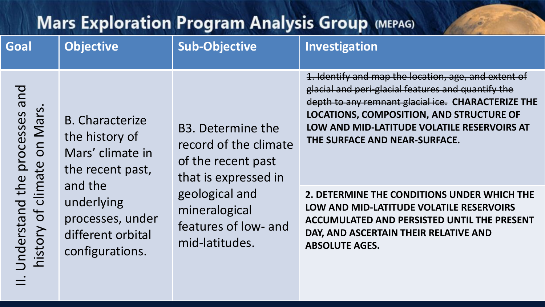| <b>Mars Exploration Program Analysis Group (MEPAG)</b>       |                                                                                   |                                                                                                                                                                                    |                                                                                                                                                                                                                                                                                                     |
|--------------------------------------------------------------|-----------------------------------------------------------------------------------|------------------------------------------------------------------------------------------------------------------------------------------------------------------------------------|-----------------------------------------------------------------------------------------------------------------------------------------------------------------------------------------------------------------------------------------------------------------------------------------------------|
| Goal                                                         | <b>Objective</b>                                                                  | <b>Sub-Objective</b>                                                                                                                                                               | Investigation                                                                                                                                                                                                                                                                                       |
| pue<br>on Mars<br>climate                                    | <b>B.</b> Characterize<br>the history of<br>Mars' climate in<br>the recent past,  | B <sub>3</sub> . Determine the<br>record of the climate<br>of the recent past<br>that is expressed in<br>geological and<br>mineralogical<br>features of low- and<br>mid-latitudes. | 1. Identify and map the location, age, and extent of<br>glacial and peri-glacial features and quantify the<br>depth to any remnant glacial ice. CHARACTERIZE THE<br><b>LOCATIONS, COMPOSITION, AND STRUCTURE OF</b><br>LOW AND MID-LATITUDE VOLATILE RESERVOIRS AT<br>THE SURFACE AND NEAR-SURFACE. |
| <b>Jnderstand the processes</b><br>$\overline{d}$<br>history | and the<br>underlying<br>processes, under<br>different orbital<br>configurations. |                                                                                                                                                                                    | 2. DETERMINE THE CONDITIONS UNDER WHICH THE<br>LOW AND MID-LATITUDE VOLATILE RESERVOIRS<br><b>ACCUMULATED AND PERSISTED UNTIL THE PRESENT</b><br>DAY, AND ASCERTAIN THEIR RELATIVE AND<br><b>ABSOLUTE AGES.</b>                                                                                     |

MEPAG 2015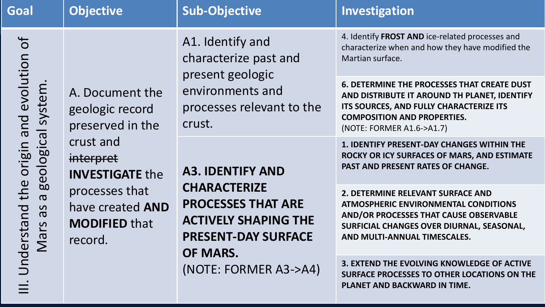| Goal                                                                                                                                                                                                                                            | <b>Objective</b>                                       | <b>Sub-Objective</b>                                                                                                                                                          | Investigation                                                                                                                                                                                                    |
|-------------------------------------------------------------------------------------------------------------------------------------------------------------------------------------------------------------------------------------------------|--------------------------------------------------------|-------------------------------------------------------------------------------------------------------------------------------------------------------------------------------|------------------------------------------------------------------------------------------------------------------------------------------------------------------------------------------------------------------|
| $\overline{\sigma}$<br>and evolution<br>system<br>$\overline{\sigma}$<br>crust and<br>geologic<br>origin<br>interpret<br>the<br>processes that<br>$\boldsymbol{\sigma}$<br>Understand<br>8p<br><u>S</u><br>$\overline{\mathsf{M}}$ a<br>record. | A. Document the<br>geologic record<br>preserved in the | A1. Identify and<br>characterize past and<br>present geologic<br>environments and<br>processes relevant to the<br>crust.                                                      | 4. Identify FROST AND ice-related processes and<br>characterize when and how they have modified the<br>Martian surface.                                                                                          |
|                                                                                                                                                                                                                                                 |                                                        |                                                                                                                                                                               | <b>6. DETERMINE THE PROCESSES THAT CREATE DUST</b><br>AND DISTRIBUTE IT AROUND TH PLANET, IDENTIFY<br>ITS SOURCES, AND FULLY CHARACTERIZE ITS<br><b>COMPOSITION AND PROPERTIES.</b><br>(NOTE: FORMER A1.6->A1.7) |
|                                                                                                                                                                                                                                                 | <b>INVESTIGATE the</b>                                 | <b>A3. IDENTIFY AND</b><br><b>CHARACTERIZE</b><br><b>PROCESSES THAT ARE</b><br><b>ACTIVELY SHAPING THE</b><br><b>PRESENT-DAY SURFACE</b><br>OF MARS.<br>(NOTE: FORMER A3->A4) | <b>1. IDENTIFY PRESENT-DAY CHANGES WITHIN THE</b><br>ROCKY OR ICY SURFACES OF MARS, AND ESTIMATE<br>PAST AND PRESENT RATES OF CHANGE.                                                                            |
|                                                                                                                                                                                                                                                 | have created <b>AND</b><br><b>MODIFIED that</b>        |                                                                                                                                                                               | 2. DETERMINE RELEVANT SURFACE AND<br><b>ATMOSPHERIC ENVIRONMENTAL CONDITIONS</b><br>AND/OR PROCESSES THAT CAUSE OBSERVABLE<br>SURFICIAL CHANGES OVER DIURNAL, SEASONAL,<br>AND MULTI-ANNUAL TIMESCALES.          |
|                                                                                                                                                                                                                                                 |                                                        |                                                                                                                                                                               | 3. EXTEND THE EVOLVING KNOWLEDGE OF ACTIVE<br>SURFACE PROCESSES TO OTHER LOCATIONS ON THE<br><b>PLANET AND BACKWARD IN TIME.</b>                                                                                 |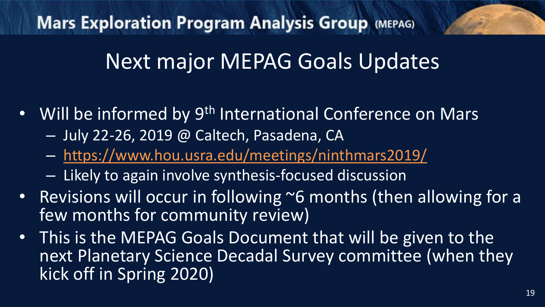### Next major MEPAG Goals Updates

- Will be informed by 9<sup>th</sup> International Conference on Mars
	- July 22-26, 2019 @ Caltech, Pasadena, CA
	- <https://www.hou.usra.edu/meetings/ninthmars2019/>
	- Likely to again involve synthesis-focused discussion
- Revisions will occur in following  $\sim$ 6 months (then allowing for a few months for community review)
- This is the MEPAG Goals Document that will be given to the next Planetary Science Decadal Survey committee (when they kick off in Spring 2020)